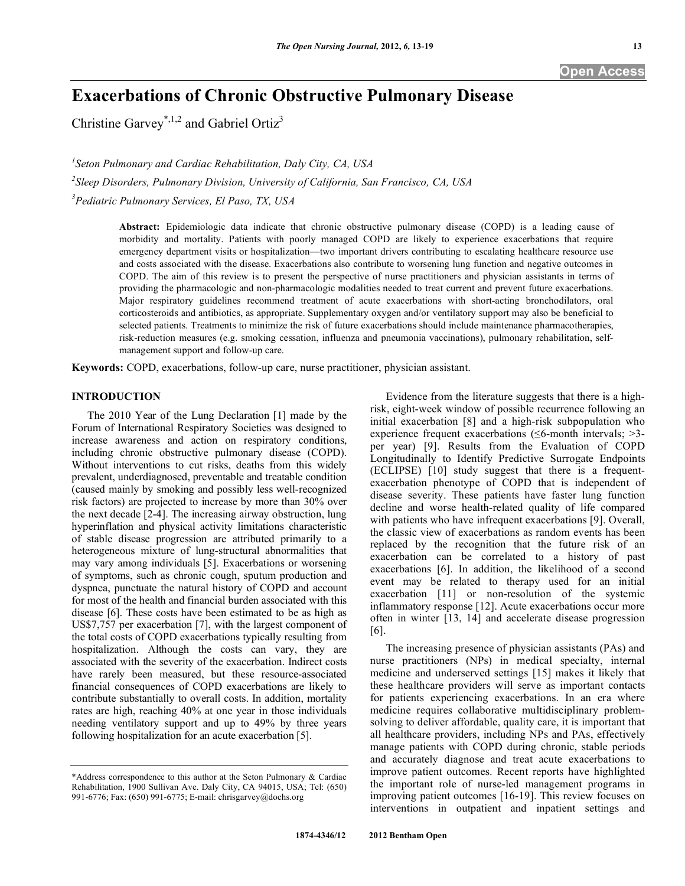# **Exacerbations of Chronic Obstructive Pulmonary Disease**

Christine Garvey<sup>\*,1,2</sup> and Gabriel Ortiz<sup>3</sup>

*1 Seton Pulmonary and Cardiac Rehabilitation, Daly City, CA, USA 2 Sleep Disorders, Pulmonary Division, University of California, San Francisco, CA, USA 3 Pediatric Pulmonary Services, El Paso, TX, USA* 

> **Abstract:** Epidemiologic data indicate that chronic obstructive pulmonary disease (COPD) is a leading cause of morbidity and mortality. Patients with poorly managed COPD are likely to experience exacerbations that require emergency department visits or hospitalization—two important drivers contributing to escalating healthcare resource use and costs associated with the disease. Exacerbations also contribute to worsening lung function and negative outcomes in COPD. The aim of this review is to present the perspective of nurse practitioners and physician assistants in terms of providing the pharmacologic and non-pharmacologic modalities needed to treat current and prevent future exacerbations. Major respiratory guidelines recommend treatment of acute exacerbations with short-acting bronchodilators, oral corticosteroids and antibiotics, as appropriate. Supplementary oxygen and/or ventilatory support may also be beneficial to selected patients. Treatments to minimize the risk of future exacerbations should include maintenance pharmacotherapies, risk-reduction measures (e.g. smoking cessation, influenza and pneumonia vaccinations), pulmonary rehabilitation, selfmanagement support and follow-up care.

**Keywords:** COPD, exacerbations, follow-up care, nurse practitioner, physician assistant.

# **INTRODUCTION**

 The 2010 Year of the Lung Declaration [1] made by the Forum of International Respiratory Societies was designed to increase awareness and action on respiratory conditions, including chronic obstructive pulmonary disease (COPD). Without interventions to cut risks, deaths from this widely prevalent, underdiagnosed, preventable and treatable condition (caused mainly by smoking and possibly less well-recognized risk factors) are projected to increase by more than 30% over the next decade [2-4]. The increasing airway obstruction, lung hyperinflation and physical activity limitations characteristic of stable disease progression are attributed primarily to a heterogeneous mixture of lung-structural abnormalities that may vary among individuals [5]. Exacerbations or worsening of symptoms, such as chronic cough, sputum production and dyspnea, punctuate the natural history of COPD and account for most of the health and financial burden associated with this disease [6]. These costs have been estimated to be as high as US\$7,757 per exacerbation [7], with the largest component of the total costs of COPD exacerbations typically resulting from hospitalization. Although the costs can vary, they are associated with the severity of the exacerbation. Indirect costs have rarely been measured, but these resource-associated financial consequences of COPD exacerbations are likely to contribute substantially to overall costs. In addition, mortality rates are high, reaching 40% at one year in those individuals needing ventilatory support and up to 49% by three years following hospitalization for an acute exacerbation [5].

 Evidence from the literature suggests that there is a highrisk, eight-week window of possible recurrence following an initial exacerbation [8] and a high-risk subpopulation who experience frequent exacerbations ( $\leq 6$ -month intervals;  $>3$ per year) [9]. Results from the Evaluation of COPD Longitudinally to Identify Predictive Surrogate Endpoints (ECLIPSE) [10] study suggest that there is a frequentexacerbation phenotype of COPD that is independent of disease severity. These patients have faster lung function decline and worse health-related quality of life compared with patients who have infrequent exacerbations [9]. Overall, the classic view of exacerbations as random events has been replaced by the recognition that the future risk of an exacerbation can be correlated to a history of past exacerbations [6]. In addition, the likelihood of a second event may be related to therapy used for an initial exacerbation [11] or non-resolution of the systemic inflammatory response [12]. Acute exacerbations occur more often in winter [13, 14] and accelerate disease progression [6].

 The increasing presence of physician assistants (PAs) and nurse practitioners (NPs) in medical specialty, internal medicine and underserved settings [15] makes it likely that these healthcare providers will serve as important contacts for patients experiencing exacerbations. In an era where medicine requires collaborative multidisciplinary problemsolving to deliver affordable, quality care, it is important that all healthcare providers, including NPs and PAs, effectively manage patients with COPD during chronic, stable periods and accurately diagnose and treat acute exacerbations to improve patient outcomes. Recent reports have highlighted the important role of nurse-led management programs in improving patient outcomes [16-19]. This review focuses on interventions in outpatient and inpatient settings and

<sup>\*</sup>Address correspondence to this author at the Seton Pulmonary & Cardiac Rehabilitation, 1900 Sullivan Ave. Daly City, CA 94015, USA; Tel: (650) 991-6776; Fax: (650) 991-6775; E-mail: chrisgarvey@dochs.org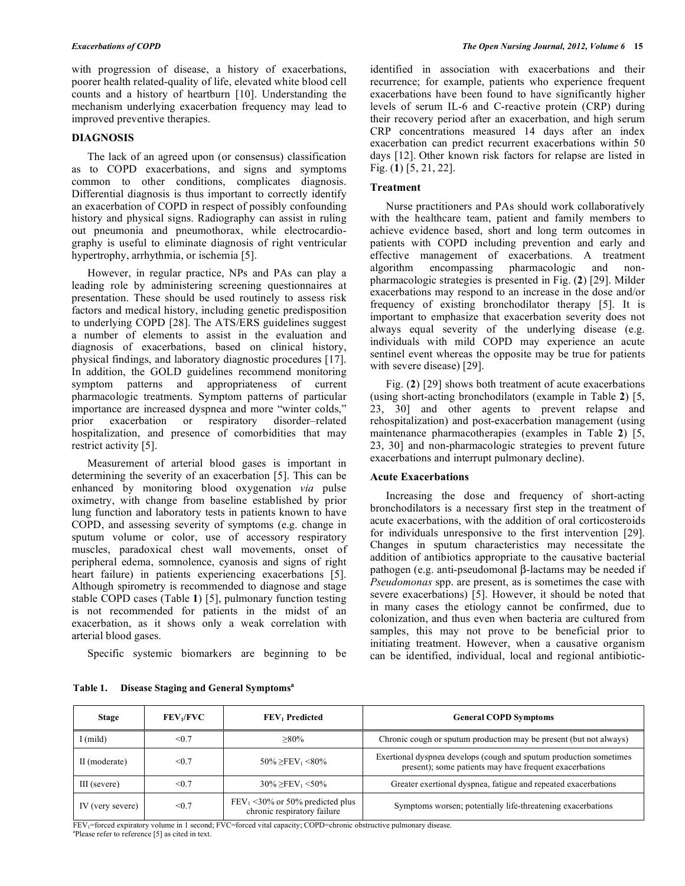with progression of disease, a history of exacerbations, poorer health related-quality of life, elevated white blood cell counts and a history of heartburn [10]. Understanding the mechanism underlying exacerbation frequency may lead to improved preventive therapies.

# **DIAGNOSIS**

 The lack of an agreed upon (or consensus) classification as to COPD exacerbations, and signs and symptoms common to other conditions, complicates diagnosis. Differential diagnosis is thus important to correctly identify an exacerbation of COPD in respect of possibly confounding history and physical signs. Radiography can assist in ruling out pneumonia and pneumothorax, while electrocardiography is useful to eliminate diagnosis of right ventricular hypertrophy, arrhythmia, or ischemia [5].

 However, in regular practice, NPs and PAs can play a leading role by administering screening questionnaires at presentation. These should be used routinely to assess risk factors and medical history, including genetic predisposition to underlying COPD [28]. The ATS/ERS guidelines suggest a number of elements to assist in the evaluation and diagnosis of exacerbations, based on clinical history, physical findings, and laboratory diagnostic procedures [17]. In addition, the GOLD guidelines recommend monitoring symptom patterns and appropriateness of current pharmacologic treatments. Symptom patterns of particular importance are increased dyspnea and more "winter colds," exacerbation or respiratory disorder–related hospitalization, and presence of comorbidities that may restrict activity [5].

 Measurement of arterial blood gases is important in determining the severity of an exacerbation [5]. This can be enhanced by monitoring blood oxygenation *via* pulse oximetry, with change from baseline established by prior lung function and laboratory tests in patients known to have COPD, and assessing severity of symptoms (e.g. change in sputum volume or color, use of accessory respiratory muscles, paradoxical chest wall movements, onset of peripheral edema, somnolence, cyanosis and signs of right heart failure) in patients experiencing exacerbations [5]. Although spirometry is recommended to diagnose and stage stable COPD cases (Table **1**) [5], pulmonary function testing is not recommended for patients in the midst of an exacerbation, as it shows only a weak correlation with arterial blood gases.

Specific systemic biomarkers are beginning to be

identified in association with exacerbations and their recurrence; for example, patients who experience frequent exacerbations have been found to have significantly higher levels of serum IL-6 and C-reactive protein (CRP) during their recovery period after an exacerbation, and high serum CRP concentrations measured 14 days after an index exacerbation can predict recurrent exacerbations within 50 days [12]. Other known risk factors for relapse are listed in Fig. (**1**) [5, 21, 22].

## **Treatment**

 Nurse practitioners and PAs should work collaboratively with the healthcare team, patient and family members to achieve evidence based, short and long term outcomes in patients with COPD including prevention and early and effective management of exacerbations. A treatment algorithm encompassing pharmacologic and nonpharmacologic strategies is presented in Fig. (**2**) [29]. Milder exacerbations may respond to an increase in the dose and/or frequency of existing bronchodilator therapy [5]. It is important to emphasize that exacerbation severity does not always equal severity of the underlying disease (e.g. individuals with mild COPD may experience an acute sentinel event whereas the opposite may be true for patients with severe disease) [29].

 Fig. (**2**) [29] shows both treatment of acute exacerbations (using short-acting bronchodilators (example in Table **2**) [5, 23, 30] and other agents to prevent relapse and rehospitalization) and post-exacerbation management (using maintenance pharmacotherapies (examples in Table **2**) [5, 23, 30] and non-pharmacologic strategies to prevent future exacerbations and interrupt pulmonary decline).

## **Acute Exacerbations**

 Increasing the dose and frequency of short-acting bronchodilators is a necessary first step in the treatment of acute exacerbations, with the addition of oral corticosteroids for individuals unresponsive to the first intervention [29]. Changes in sputum characteristics may necessitate the addition of antibiotics appropriate to the causative bacterial pathogen (e.g. anti-pseudomonal  $\beta$ -lactams may be needed if *Pseudomonas* spp. are present, as is sometimes the case with severe exacerbations) [5]. However, it should be noted that in many cases the etiology cannot be confirmed, due to colonization, and thus even when bacteria are cultured from samples, this may not prove to be beneficial prior to initiating treatment. However, when a causative organism can be identified, individual, local and regional antibiotic-

| <b>Stage</b>     | FEV <sub>1</sub> /FVC | FEV <sub>1</sub> Predicted                                        | <b>General COPD Symptoms</b>                                                                                                   |
|------------------|-----------------------|-------------------------------------------------------------------|--------------------------------------------------------------------------------------------------------------------------------|
| I (mild)         | < 0.7                 | $>80\%$                                                           | Chronic cough or sputum production may be present (but not always)                                                             |
| II (moderate)    | < 0.7                 | $50\% \geq FEV_1 \leq 80\%$                                       | Exertional dyspnea develops (cough and sputum production sometimes)<br>present); some patients may have frequent exacerbations |
| III (severe)     | < 0.7                 | $30\% \geq FEV_1 \leq 50\%$                                       | Greater exertional dyspnea, fatigue and repeated exacerbations                                                                 |
| IV (very severe) | < 0.7                 | $FEV_1$ <30% or 50% predicted plus<br>chronic respiratory failure | Symptoms worsen; potentially life-threatening exacerbations                                                                    |

**Table 1. Disease Staging and General Symptomsa**

FEV<sub>1</sub>=forced expiratory volume in 1 second; FVC=forced vital capacity; COPD=chronic obstructive pulmonary disease. Please refer to reference [5] as cited in text.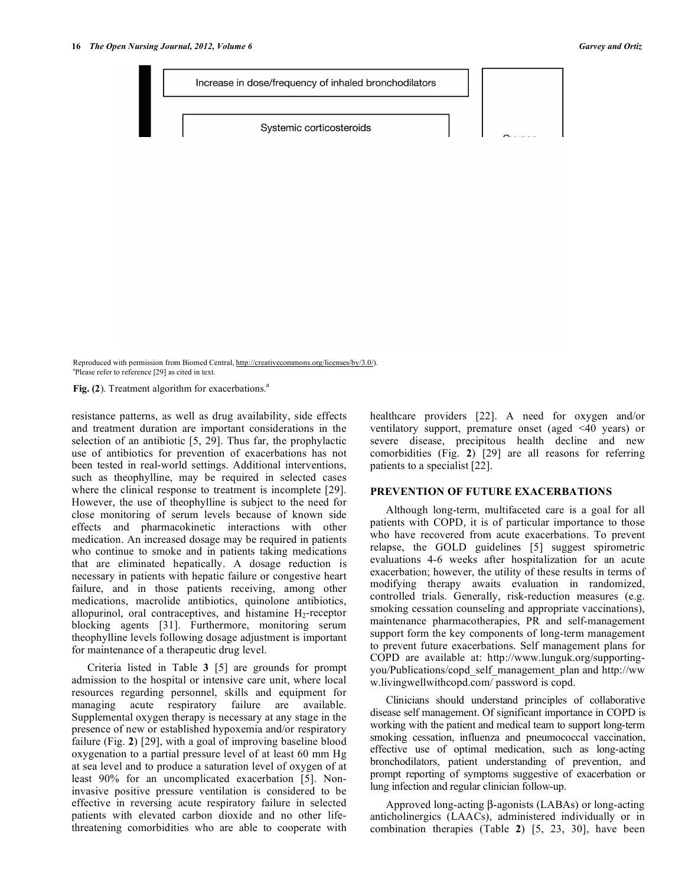Reproduced with permission from Biomed Central, http://creativecommons.org/licenses/by/3.0/). a Please refer to reference [29] as cited in text.

Fig. (2). Treatment algorithm for exacerbations.<sup>a</sup>

resistance patterns, as well as drug availability, side effects and treatment duration are important considerations in the selection of an antibiotic [5, 29]. Thus far, the prophylactic use of antibiotics for prevention of exacerbations has not been tested in real-world settings. Additional interventions, such as theophylline, may be required in selected cases where the clinical response to treatment is incomplete [29]. However, the use of theophylline is subject to the need for close monitoring of serum levels because of known side effects and pharmacokinetic interactions with other medication. An increased dosage may be required in patients who continue to smoke and in patients taking medications that are eliminated hepatically. A dosage reduction is necessary in patients with hepatic failure or congestive heart failure, and in those patients receiving, among other medications, macrolide antibiotics, quinolone antibiotics, allopurinol, oral contraceptives, and histamine  $H_2$ -receptor blocking agents [31]. Furthermore, monitoring serum theophylline levels following dosage adjustment is important for maintenance of a therapeutic drug level.

 Criteria listed in Table **3** [5] are grounds for prompt admission to the hospital or intensive care unit, where local resources regarding personnel, skills and equipment for managing acute respiratory failure are available. Supplemental oxygen therapy is necessary at any stage in the presence of new or established hypoxemia and/or respiratory failure (Fig. **2**) [29], with a goal of improving baseline blood oxygenation to a partial pressure level of at least 60 mm Hg at sea level and to produce a saturation level of oxygen of at least 90% for an uncomplicated exacerbation [5]. Noninvasive positive pressure ventilation is considered to be effective in reversing acute respiratory failure in selected patients with elevated carbon dioxide and no other lifethreatening comorbidities who are able to cooperate with

healthcare providers [22]. A need for oxygen and/or ventilatory support, premature onset (aged <40 years) or severe disease, precipitous health decline and new comorbidities (Fig. **2**) [29] are all reasons for referring patients to a specialist [22].

## **PREVENTION OF FUTURE EXACERBATIONS**

 Although long-term, multifaceted care is a goal for all patients with COPD, it is of particular importance to those who have recovered from acute exacerbations. To prevent relapse, the GOLD guidelines [5] suggest spirometric evaluations 4-6 weeks after hospitalization for an acute exacerbation; however, the utility of these results in terms of modifying therapy awaits evaluation in randomized, controlled trials. Generally, risk-reduction measures (e.g. smoking cessation counseling and appropriate vaccinations), maintenance pharmacotherapies, PR and self-management support form the key components of long-term management to prevent future exacerbations. Self management plans for COPD are available at: http://www.lunguk.org/supportingyou/Publications/copd\_self\_management\_plan and http://ww w.livingwellwithcopd.com/ password is copd.

 Clinicians should understand principles of collaborative disease self management. Of significant importance in COPD is working with the patient and medical team to support long-term smoking cessation, influenza and pneumococcal vaccination, effective use of optimal medication, such as long-acting bronchodilators, patient understanding of prevention, and prompt reporting of symptoms suggestive of exacerbation or lung infection and regular clinician follow-up.

Approved long-acting  $\beta$ -agonists (LABAs) or long-acting anticholinergics (LAACs), administered individually or in combination therapies (Table **2**) [5, 23, 30], have been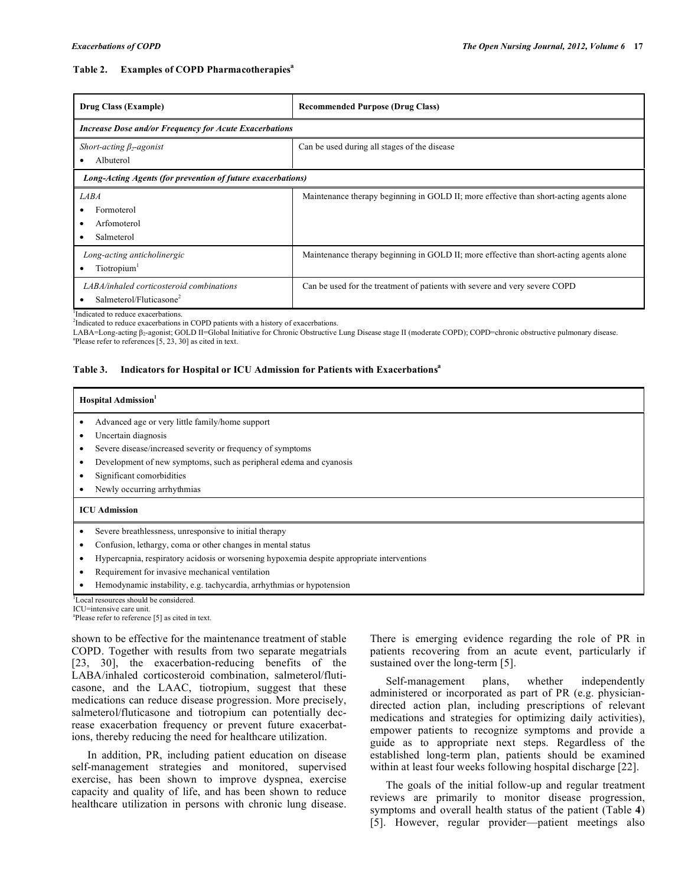## **Table 2. Examples of COPD Pharmacotherapiesa**

| Drug Class (Example)                                                            | <b>Recommended Purpose (Drug Class)</b>                                                 |  |  |  |
|---------------------------------------------------------------------------------|-----------------------------------------------------------------------------------------|--|--|--|
| <b>Increase Dose and/or Frequency for Acute Exacerbations</b>                   |                                                                                         |  |  |  |
| Short-acting $\beta_2$ -agonist<br>Albuterol                                    | Can be used during all stages of the disease                                            |  |  |  |
| Long-Acting Agents (for prevention of future exacerbations)                     |                                                                                         |  |  |  |
| <i>LABA</i><br>Formoterol<br>Arfomoterol<br>Salmeterol                          | Maintenance therapy beginning in GOLD II; more effective than short-acting agents alone |  |  |  |
| Long-acting anticholinergic<br>Tiotropium <sup>1</sup>                          | Maintenance therapy beginning in GOLD II; more effective than short-acting agents alone |  |  |  |
| LABA/inhaled corticosteroid combinations<br>Salmeterol/Fluticasone <sup>2</sup> | Can be used for the treatment of patients with severe and very severe COPD              |  |  |  |

<sup>1</sup>Indicated to reduce exacerbations.

<sup>2</sup>Indicated to reduce exacerbations in COPD patients with a history of exacerbations.

LABA=Long-acting  $\beta_2$ -agonist; GOLD II=Global Initiative for Chronic Obstructive Lung Disease stage II (moderate COPD); COPD=chronic obstructive pulmonary disease.  $P$ lease refer to references [5, 23, 30] as cited in text.

## Table 3. Indicators for Hospital or ICU Admission for Patients with Exacerbations<sup>a</sup>

#### **Hospital Admission1**

- Advanced age or very little family/home support
- Uncertain diagnosis
- Severe disease/increased severity or frequency of symptoms
- Development of new symptoms, such as peripheral edema and cyanosis
- Significant comorbidities
- Newly occurring arrhythmias

#### **ICU Admission**

- Severe breathlessness, unresponsive to initial therapy
- Confusion, lethargy, coma or other changes in mental status
- Hypercapnia, respiratory acidosis or worsening hypoxemia despite appropriate interventions
- Requirement for invasive mechanical ventilation
- Hemodynamic instability, e.g. tachycardia, arrhythmias or hypotension

1 Local resources should be considered.

ICU=intensive care unit.

a Please refer to reference [5] as cited in text.

shown to be effective for the maintenance treatment of stable COPD. Together with results from two separate megatrials [23, 30], the exacerbation-reducing benefits of the LABA/inhaled corticosteroid combination, salmeterol/fluticasone, and the LAAC, tiotropium, suggest that these medications can reduce disease progression. More precisely, salmeterol/fluticasone and tiotropium can potentially decrease exacerbation frequency or prevent future exacerbations, thereby reducing the need for healthcare utilization.

 In addition, PR, including patient education on disease self-management strategies and monitored, supervised exercise, has been shown to improve dyspnea, exercise capacity and quality of life, and has been shown to reduce healthcare utilization in persons with chronic lung disease.

There is emerging evidence regarding the role of PR in patients recovering from an acute event, particularly if sustained over the long-term [5].

 Self-management plans, whether independently administered or incorporated as part of PR (e.g. physiciandirected action plan, including prescriptions of relevant medications and strategies for optimizing daily activities), empower patients to recognize symptoms and provide a guide as to appropriate next steps. Regardless of the established long-term plan, patients should be examined within at least four weeks following hospital discharge [22].

 The goals of the initial follow-up and regular treatment reviews are primarily to monitor disease progression, symptoms and overall health status of the patient (Table **4**) [5]. However, regular provider—patient meetings also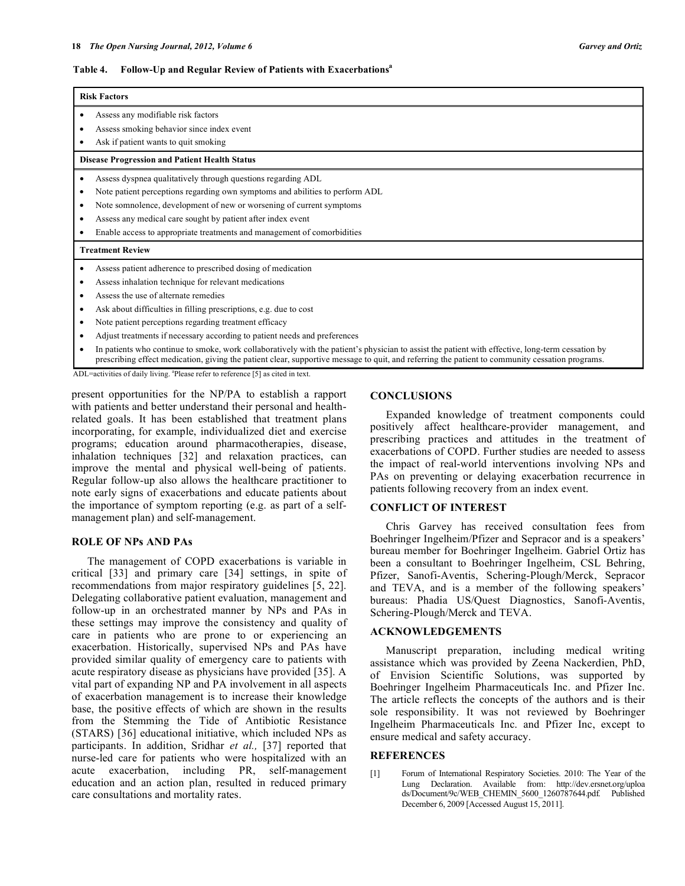#### **Table 4. Follow-Up and Regular Review of Patients with Exacerbationsa**

| <b>Risk Factors</b>                                                                                                                                                                                                                                                                                                                                                 |  |  |  |
|---------------------------------------------------------------------------------------------------------------------------------------------------------------------------------------------------------------------------------------------------------------------------------------------------------------------------------------------------------------------|--|--|--|
| Assess any modifiable risk factors<br>Assess smoking behavior since index event<br>Ask if patient wants to quit smoking                                                                                                                                                                                                                                             |  |  |  |
| <b>Disease Progression and Patient Health Status</b>                                                                                                                                                                                                                                                                                                                |  |  |  |
| Assess dyspnea qualitatively through questions regarding ADL<br>Note patient perceptions regarding own symptoms and abilities to perform ADL<br>Note somnolence, development of new or worsening of current symptoms<br>٠<br>Assess any medical care sought by patient after index event<br>Enable access to appropriate treatments and management of comorbidities |  |  |  |
| <b>Treatment Review</b>                                                                                                                                                                                                                                                                                                                                             |  |  |  |
| Assess patient adherence to prescribed dosing of medication<br>Assess inhalation technique for relevant medications<br>Assess the use of alternate remedies<br>Ask about difficulties in filling prescriptions, e.g. due to cost<br>٠                                                                                                                               |  |  |  |
| Note patient perceptions regarding treatment efficacy<br>Adjust treatments if necessary according to patient needs and preferences<br>In patients who continue to smoke, work collaboratively with the patient's physician to assist the patient with effective, long-term cessation by                                                                             |  |  |  |

prescribing effect medication, giving the patient clear, supportive message to quit, and referring the patient to community cessation programs.

ADL=activities of daily living. <sup>a</sup>Please refer to reference [5] as cited in text.

present opportunities for the NP/PA to establish a rapport with patients and better understand their personal and healthrelated goals. It has been established that treatment plans incorporating, for example, individualized diet and exercise programs; education around pharmacotherapies, disease, inhalation techniques [32] and relaxation practices, can improve the mental and physical well-being of patients. Regular follow-up also allows the healthcare practitioner to note early signs of exacerbations and educate patients about the importance of symptom reporting (e.g. as part of a selfmanagement plan) and self-management.

## **ROLE OF NPs AND PAs**

 The management of COPD exacerbations is variable in critical [33] and primary care [34] settings, in spite of recommendations from major respiratory guidelines [5, 22]. Delegating collaborative patient evaluation, management and follow-up in an orchestrated manner by NPs and PAs in these settings may improve the consistency and quality of care in patients who are prone to or experiencing an exacerbation. Historically, supervised NPs and PAs have provided similar quality of emergency care to patients with acute respiratory disease as physicians have provided [35]. A vital part of expanding NP and PA involvement in all aspects of exacerbation management is to increase their knowledge base, the positive effects of which are shown in the results from the Stemming the Tide of Antibiotic Resistance (STARS) [36] educational initiative, which included NPs as participants. In addition, Sridhar *et al.,* [37] reported that nurse-led care for patients who were hospitalized with an acute exacerbation, including PR, self-management education and an action plan, resulted in reduced primary care consultations and mortality rates.

## **CONCLUSIONS**

 Expanded knowledge of treatment components could positively affect healthcare-provider management, and prescribing practices and attitudes in the treatment of exacerbations of COPD. Further studies are needed to assess the impact of real-world interventions involving NPs and PAs on preventing or delaying exacerbation recurrence in patients following recovery from an index event.

## **CONFLICT OF INTEREST**

 Chris Garvey has received consultation fees from Boehringer Ingelheim/Pfizer and Sepracor and is a speakers' bureau member for Boehringer Ingelheim. Gabriel Ortiz has been a consultant to Boehringer Ingelheim, CSL Behring, Pfizer, Sanofi-Aventis, Schering-Plough/Merck, Sepracor and TEVA, and is a member of the following speakers' bureaus: Phadia US/Quest Diagnostics, Sanofi-Aventis, Schering-Plough/Merck and TEVA.

# **ACKNOWLEDGEMENTS**

 Manuscript preparation, including medical writing assistance which was provided by Zeena Nackerdien, PhD, of Envision Scientific Solutions, was supported by Boehringer Ingelheim Pharmaceuticals Inc. and Pfizer Inc. The article reflects the concepts of the authors and is their sole responsibility. It was not reviewed by Boehringer Ingelheim Pharmaceuticals Inc. and Pfizer Inc, except to ensure medical and safety accuracy.

# **REFERENCES**

[1] Forum of International Respiratory Societies. 2010: The Year of the Lung Declaration. Available from: http://dev.ersnet.org/uploa ds/Document/9c/WEB\_CHEMIN\_5600\_1260787644.pdf. Published December 6, 2009 [Accessed August 15, 2011].